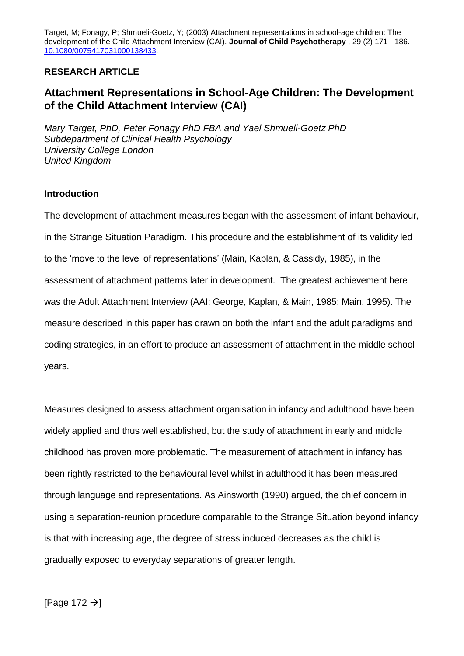Target, M; Fonagy, P; Shmueli-Goetz, Y; (2003) Attachment representations in school-age children: The development of the Child Attachment Interview (CAI). **Journal of Child Psychotherapy** , 29 (2) 171 - 186. 10.1080/0075417031000138433.

## **RESEARCH ARTICLE**

# **Attachment Representations in School-Age Children: The Development of the Child Attachment Interview (CAI)**

*Mary Target, PhD, Peter Fonagy PhD FBA and Yael Shmueli-Goetz PhD Subdepartment of Clinical Health Psychology University College London United Kingdom*

## **Introduction**

The development of attachment measures began with the assessment of infant behaviour, in the Strange Situation Paradigm. This procedure and the establishment of its validity led to the 'move to the level of representations' (Main, Kaplan, & Cassidy, 1985), in the assessment of attachment patterns later in development. The greatest achievement here was the Adult Attachment Interview (AAI: George, Kaplan, & Main, 1985; Main, 1995). The measure described in this paper has drawn on both the infant and the adult paradigms and coding strategies, in an effort to produce an assessment of attachment in the middle school years.

Measures designed to assess attachment organisation in infancy and adulthood have been widely applied and thus well established, but the study of attachment in early and middle childhood has proven more problematic. The measurement of attachment in infancy has been rightly restricted to the behavioural level whilst in adulthood it has been measured through language and representations. As Ainsworth (1990) argued, the chief concern in using a separation-reunion procedure comparable to the Strange Situation beyond infancy is that with increasing age, the degree of stress induced decreases as the child is gradually exposed to everyday separations of greater length.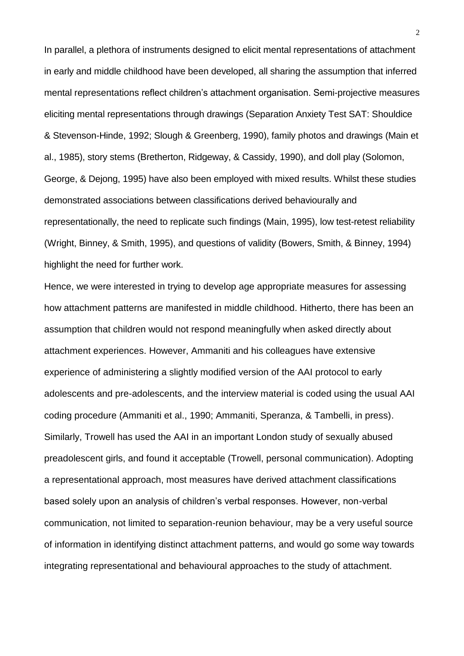In parallel, a plethora of instruments designed to elicit mental representations of attachment in early and middle childhood have been developed, all sharing the assumption that inferred mental representations reflect children's attachment organisation. Semi-projective measures eliciting mental representations through drawings (Separation Anxiety Test SAT: Shouldice & Stevenson-Hinde, 1992; Slough & Greenberg, 1990), family photos and drawings (Main et al., 1985), story stems (Bretherton, Ridgeway, & Cassidy, 1990), and doll play (Solomon, George, & Dejong, 1995) have also been employed with mixed results. Whilst these studies demonstrated associations between classifications derived behaviourally and representationally, the need to replicate such findings (Main, 1995), low test-retest reliability (Wright, Binney, & Smith, 1995), and questions of validity (Bowers, Smith, & Binney, 1994) highlight the need for further work.

Hence, we were interested in trying to develop age appropriate measures for assessing how attachment patterns are manifested in middle childhood. Hitherto, there has been an assumption that children would not respond meaningfully when asked directly about attachment experiences. However, Ammaniti and his colleagues have extensive experience of administering a slightly modified version of the AAI protocol to early adolescents and pre-adolescents, and the interview material is coded using the usual AAI coding procedure (Ammaniti et al., 1990; Ammaniti, Speranza, & Tambelli, in press). Similarly, Trowell has used the AAI in an important London study of sexually abused preadolescent girls, and found it acceptable (Trowell, personal communication). Adopting a representational approach, most measures have derived attachment classifications based solely upon an analysis of children's verbal responses. However, non-verbal communication, not limited to separation-reunion behaviour, may be a very useful source of information in identifying distinct attachment patterns, and would go some way towards integrating representational and behavioural approaches to the study of attachment.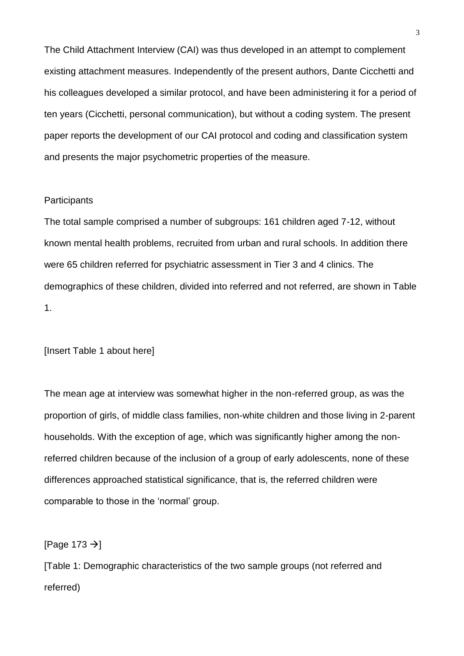The Child Attachment Interview (CAI) was thus developed in an attempt to complement existing attachment measures. Independently of the present authors, Dante Cicchetti and his colleagues developed a similar protocol, and have been administering it for a period of ten years (Cicchetti, personal communication), but without a coding system. The present paper reports the development of our CAI protocol and coding and classification system and presents the major psychometric properties of the measure.

## **Participants**

The total sample comprised a number of subgroups: 161 children aged 7-12, without known mental health problems, recruited from urban and rural schools. In addition there were 65 children referred for psychiatric assessment in Tier 3 and 4 clinics. The demographics of these children, divided into referred and not referred, are shown in Table 1.

[Insert Table 1 about here]

The mean age at interview was somewhat higher in the non-referred group, as was the proportion of girls, of middle class families, non-white children and those living in 2-parent households. With the exception of age, which was significantly higher among the nonreferred children because of the inclusion of a group of early adolescents, none of these differences approached statistical significance, that is, the referred children were comparable to those in the 'normal' group.

[Page 173  $\rightarrow$ ]

[Table 1: Demographic characteristics of the two sample groups (not referred and referred)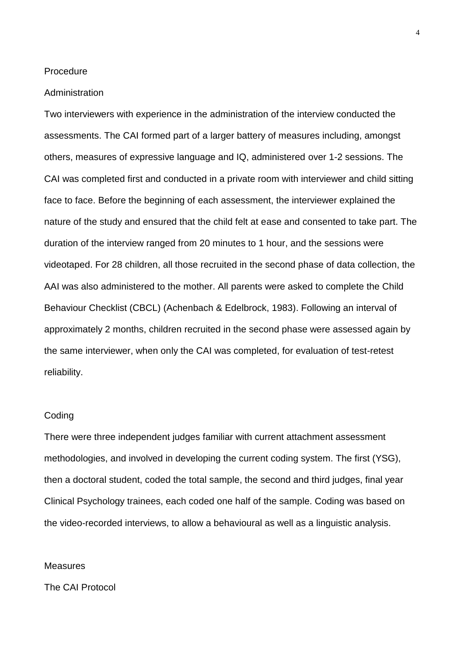#### Procedure

#### Administration

Two interviewers with experience in the administration of the interview conducted the assessments. The CAI formed part of a larger battery of measures including, amongst others, measures of expressive language and IQ, administered over 1-2 sessions. The CAI was completed first and conducted in a private room with interviewer and child sitting face to face. Before the beginning of each assessment, the interviewer explained the nature of the study and ensured that the child felt at ease and consented to take part. The duration of the interview ranged from 20 minutes to 1 hour, and the sessions were videotaped. For 28 children, all those recruited in the second phase of data collection, the AAI was also administered to the mother. All parents were asked to complete the Child Behaviour Checklist (CBCL) (Achenbach & Edelbrock, 1983). Following an interval of approximately 2 months, children recruited in the second phase were assessed again by the same interviewer, when only the CAI was completed, for evaluation of test-retest reliability.

#### Coding

There were three independent judges familiar with current attachment assessment methodologies, and involved in developing the current coding system. The first (YSG), then a doctoral student, coded the total sample, the second and third judges, final year Clinical Psychology trainees, each coded one half of the sample. Coding was based on the video-recorded interviews, to allow a behavioural as well as a linguistic analysis.

#### **Measures**

The CAI Protocol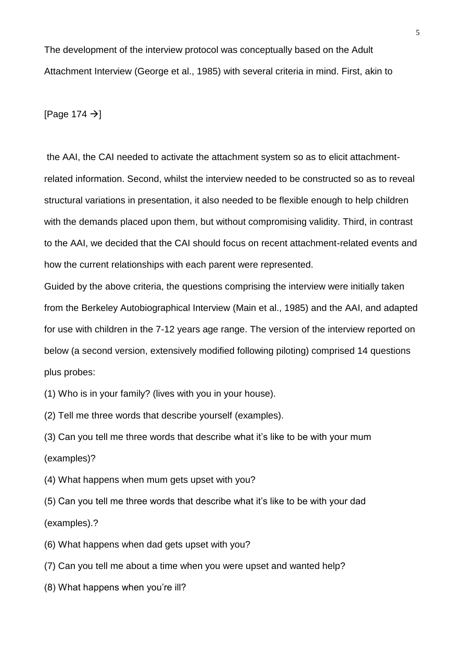The development of the interview protocol was conceptually based on the Adult Attachment Interview (George et al., 1985) with several criteria in mind. First, akin to

[Page 174  $\rightarrow$ ]

the AAI, the CAI needed to activate the attachment system so as to elicit attachmentrelated information. Second, whilst the interview needed to be constructed so as to reveal structural variations in presentation, it also needed to be flexible enough to help children with the demands placed upon them, but without compromising validity. Third, in contrast to the AAI, we decided that the CAI should focus on recent attachment-related events and how the current relationships with each parent were represented.

Guided by the above criteria, the questions comprising the interview were initially taken from the Berkeley Autobiographical Interview (Main et al., 1985) and the AAI, and adapted for use with children in the 7-12 years age range. The version of the interview reported on below (a second version, extensively modified following piloting) comprised 14 questions plus probes:

- (1) Who is in your family? (lives with you in your house).
- (2) Tell me three words that describe yourself (examples).

(3) Can you tell me three words that describe what it's like to be with your mum (examples)?

- (4) What happens when mum gets upset with you?
- (5) Can you tell me three words that describe what it's like to be with your dad (examples).?
- (6) What happens when dad gets upset with you?
- (7) Can you tell me about a time when you were upset and wanted help?
- (8) What happens when you're ill?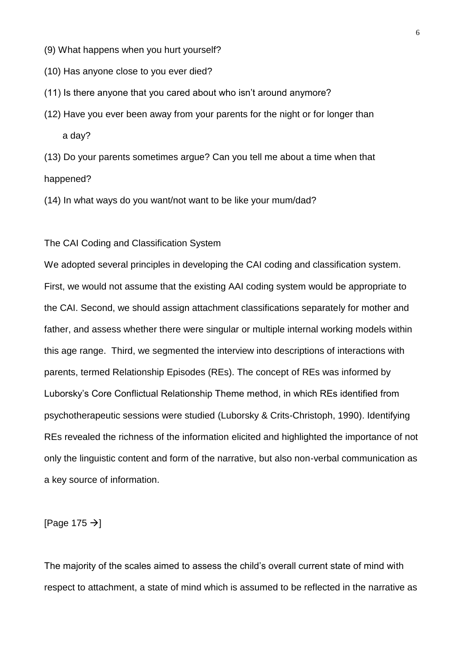- (9) What happens when you hurt yourself?
- (10) Has anyone close to you ever died?
- (11) Is there anyone that you cared about who isn't around anymore?
- (12) Have you ever been away from your parents for the night or for longer than a day?

(13) Do your parents sometimes argue? Can you tell me about a time when that happened?

(14) In what ways do you want/not want to be like your mum/dad?

## The CAI Coding and Classification System

We adopted several principles in developing the CAI coding and classification system. First, we would not assume that the existing AAI coding system would be appropriate to the CAI. Second, we should assign attachment classifications separately for mother and father, and assess whether there were singular or multiple internal working models within this age range. Third, we segmented the interview into descriptions of interactions with parents, termed Relationship Episodes (REs). The concept of REs was informed by Luborsky's Core Conflictual Relationship Theme method, in which REs identified from psychotherapeutic sessions were studied (Luborsky & Crits-Christoph, 1990). Identifying REs revealed the richness of the information elicited and highlighted the importance of not only the linguistic content and form of the narrative, but also non-verbal communication as a key source of information.

[Page 175  $\rightarrow$ ]

The majority of the scales aimed to assess the child's overall current state of mind with respect to attachment, a state of mind which is assumed to be reflected in the narrative as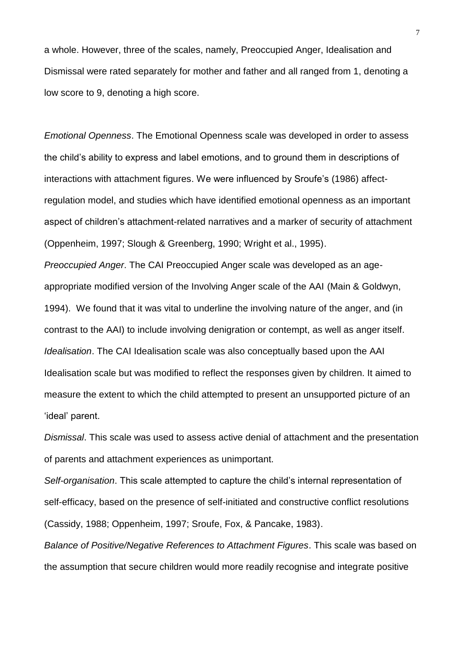a whole. However, three of the scales, namely, Preoccupied Anger, Idealisation and Dismissal were rated separately for mother and father and all ranged from 1, denoting a low score to 9, denoting a high score.

*Emotional Openness*. The Emotional Openness scale was developed in order to assess the child's ability to express and label emotions, and to ground them in descriptions of interactions with attachment figures. We were influenced by Sroufe's (1986) affectregulation model, and studies which have identified emotional openness as an important aspect of children's attachment-related narratives and a marker of security of attachment (Oppenheim, 1997; Slough & Greenberg, 1990; Wright et al., 1995).

*Preoccupied Anger*. The CAI Preoccupied Anger scale was developed as an ageappropriate modified version of the Involving Anger scale of the AAI (Main & Goldwyn, 1994). We found that it was vital to underline the involving nature of the anger, and (in contrast to the AAI) to include involving denigration or contempt, as well as anger itself. *Idealisation*. The CAI Idealisation scale was also conceptually based upon the AAI Idealisation scale but was modified to reflect the responses given by children. It aimed to measure the extent to which the child attempted to present an unsupported picture of an 'ideal' parent.

*Dismissal*. This scale was used to assess active denial of attachment and the presentation of parents and attachment experiences as unimportant.

*Self-organisation*. This scale attempted to capture the child's internal representation of self-efficacy, based on the presence of self-initiated and constructive conflict resolutions (Cassidy, 1988; Oppenheim, 1997; Sroufe, Fox, & Pancake, 1983).

*Balance of Positive/Negative References to Attachment Figures*. This scale was based on the assumption that secure children would more readily recognise and integrate positive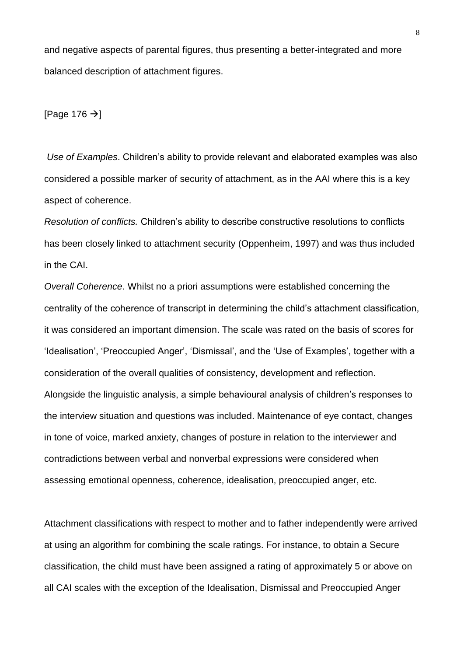and negative aspects of parental figures, thus presenting a better-integrated and more balanced description of attachment figures.

[Page 176  $\rightarrow$ ]

*Use of Examples*. Children's ability to provide relevant and elaborated examples was also considered a possible marker of security of attachment, as in the AAI where this is a key aspect of coherence.

*Resolution of conflicts.* Children's ability to describe constructive resolutions to conflicts has been closely linked to attachment security (Oppenheim, 1997) and was thus included in the CAI.

*Overall Coherence*. Whilst no a priori assumptions were established concerning the centrality of the coherence of transcript in determining the child's attachment classification, it was considered an important dimension. The scale was rated on the basis of scores for 'Idealisation', 'Preoccupied Anger', 'Dismissal', and the 'Use of Examples', together with a consideration of the overall qualities of consistency, development and reflection. Alongside the linguistic analysis, a simple behavioural analysis of children's responses to the interview situation and questions was included. Maintenance of eye contact, changes in tone of voice, marked anxiety, changes of posture in relation to the interviewer and contradictions between verbal and nonverbal expressions were considered when assessing emotional openness, coherence, idealisation, preoccupied anger, etc.

Attachment classifications with respect to mother and to father independently were arrived at using an algorithm for combining the scale ratings. For instance, to obtain a Secure classification, the child must have been assigned a rating of approximately 5 or above on all CAI scales with the exception of the Idealisation, Dismissal and Preoccupied Anger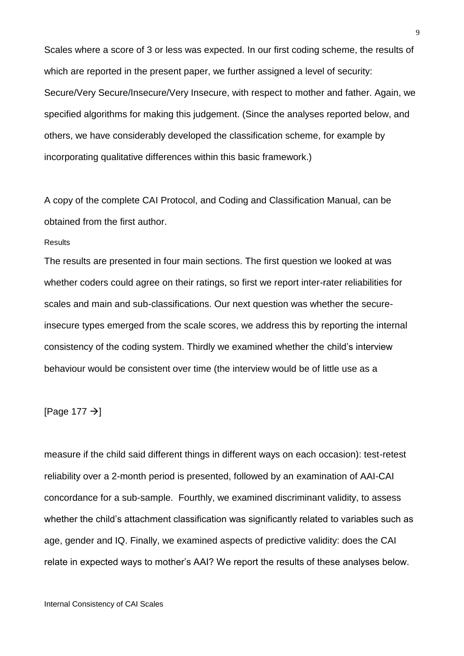Scales where a score of 3 or less was expected. In our first coding scheme, the results of which are reported in the present paper, we further assigned a level of security: Secure/Very Secure/Insecure/Very Insecure, with respect to mother and father. Again, we specified algorithms for making this judgement. (Since the analyses reported below, and others, we have considerably developed the classification scheme, for example by incorporating qualitative differences within this basic framework.)

A copy of the complete CAI Protocol, and Coding and Classification Manual, can be obtained from the first author.

#### **Results**

The results are presented in four main sections. The first question we looked at was whether coders could agree on their ratings, so first we report inter-rater reliabilities for scales and main and sub-classifications. Our next question was whether the secureinsecure types emerged from the scale scores, we address this by reporting the internal consistency of the coding system. Thirdly we examined whether the child's interview behaviour would be consistent over time (the interview would be of little use as a

## [Page 177  $\rightarrow$ ]

measure if the child said different things in different ways on each occasion): test-retest reliability over a 2-month period is presented, followed by an examination of AAI-CAI concordance for a sub-sample. Fourthly, we examined discriminant validity, to assess whether the child's attachment classification was significantly related to variables such as age, gender and IQ. Finally, we examined aspects of predictive validity: does the CAI relate in expected ways to mother's AAI? We report the results of these analyses below.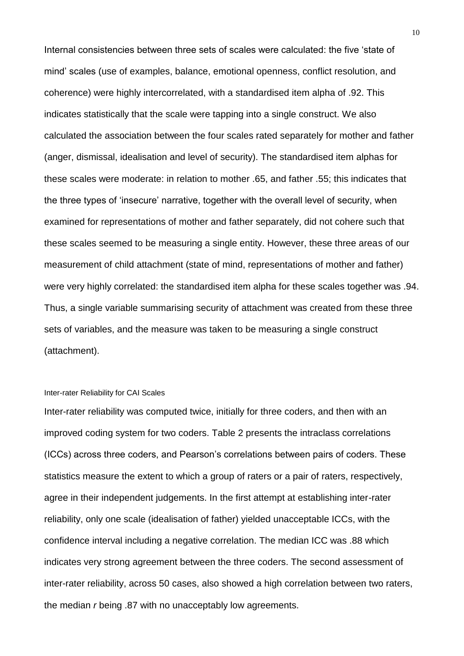Internal consistencies between three sets of scales were calculated: the five 'state of mind' scales (use of examples, balance, emotional openness, conflict resolution, and coherence) were highly intercorrelated, with a standardised item alpha of .92. This indicates statistically that the scale were tapping into a single construct. We also calculated the association between the four scales rated separately for mother and father (anger, dismissal, idealisation and level of security). The standardised item alphas for these scales were moderate: in relation to mother .65, and father .55; this indicates that the three types of 'insecure' narrative, together with the overall level of security, when examined for representations of mother and father separately, did not cohere such that these scales seemed to be measuring a single entity. However, these three areas of our measurement of child attachment (state of mind, representations of mother and father) were very highly correlated: the standardised item alpha for these scales together was .94. Thus, a single variable summarising security of attachment was created from these three sets of variables, and the measure was taken to be measuring a single construct (attachment).

#### Inter-rater Reliability for CAI Scales

Inter-rater reliability was computed twice, initially for three coders, and then with an improved coding system for two coders. Table 2 presents the intraclass correlations (ICCs) across three coders, and Pearson's correlations between pairs of coders. These statistics measure the extent to which a group of raters or a pair of raters, respectively, agree in their independent judgements. In the first attempt at establishing inter-rater reliability, only one scale (idealisation of father) yielded unacceptable ICCs, with the confidence interval including a negative correlation. The median ICC was .88 which indicates very strong agreement between the three coders. The second assessment of inter-rater reliability, across 50 cases, also showed a high correlation between two raters, the median *r* being .87 with no unacceptably low agreements.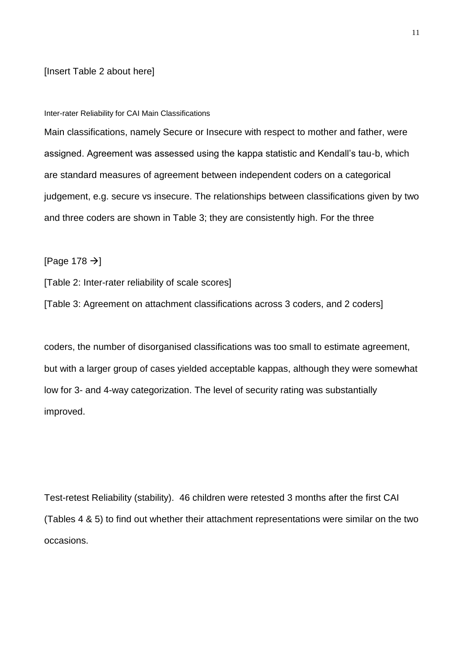#### [Insert Table 2 about here]

#### Inter-rater Reliability for CAI Main Classifications

Main classifications, namely Secure or Insecure with respect to mother and father, were assigned. Agreement was assessed using the kappa statistic and Kendall's tau-b, which are standard measures of agreement between independent coders on a categorical judgement, e.g. secure vs insecure. The relationships between classifications given by two and three coders are shown in Table 3; they are consistently high. For the three

[Page 178  $\rightarrow$ ]

[Table 2: Inter-rater reliability of scale scores]

[Table 3: Agreement on attachment classifications across 3 coders, and 2 coders]

coders, the number of disorganised classifications was too small to estimate agreement, but with a larger group of cases yielded acceptable kappas, although they were somewhat low for 3- and 4-way categorization. The level of security rating was substantially improved.

Test-retest Reliability (stability). 46 children were retested 3 months after the first CAI (Tables 4 & 5) to find out whether their attachment representations were similar on the two occasions.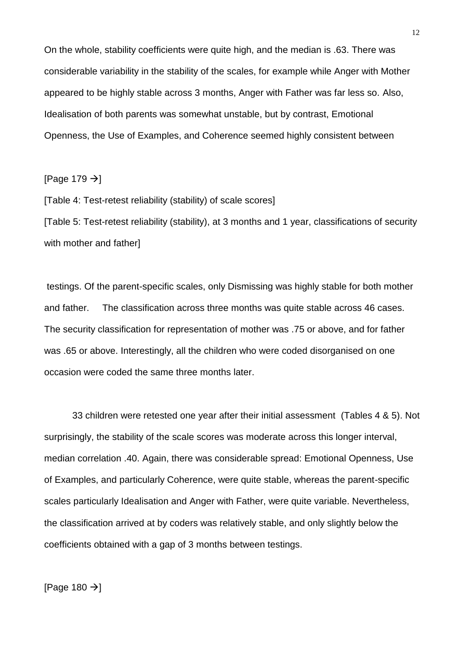On the whole, stability coefficients were quite high, and the median is .63. There was considerable variability in the stability of the scales, for example while Anger with Mother appeared to be highly stable across 3 months, Anger with Father was far less so. Also, Idealisation of both parents was somewhat unstable, but by contrast, Emotional Openness, the Use of Examples, and Coherence seemed highly consistent between

[Page 179  $\rightarrow$ ]

[Table 4: Test-retest reliability (stability) of scale scores]

[Table 5: Test-retest reliability (stability), at 3 months and 1 year, classifications of security with mother and father]

testings. Of the parent-specific scales, only Dismissing was highly stable for both mother and father. The classification across three months was quite stable across 46 cases. The security classification for representation of mother was .75 or above, and for father was .65 or above. Interestingly, all the children who were coded disorganised on one occasion were coded the same three months later.

33 children were retested one year after their initial assessment (Tables 4 & 5). Not surprisingly, the stability of the scale scores was moderate across this longer interval, median correlation .40. Again, there was considerable spread: Emotional Openness, Use of Examples, and particularly Coherence, were quite stable, whereas the parent-specific scales particularly Idealisation and Anger with Father, were quite variable. Nevertheless, the classification arrived at by coders was relatively stable, and only slightly below the coefficients obtained with a gap of 3 months between testings.

[Page 180  $\rightarrow$ ]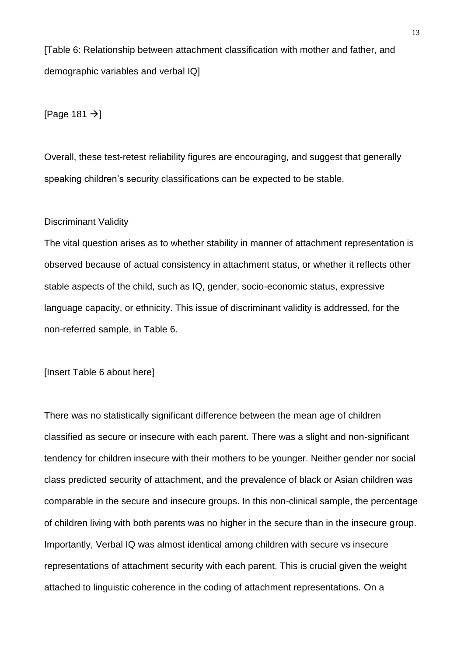[Table 6: Relationship between attachment classification with mother and father, and demographic variables and verbal IQ]

[Page 181  $\rightarrow$ ]

Overall, these test-retest reliability figures are encouraging, and suggest that generally speaking children's security classifications can be expected to be stable.

#### Discriminant Validity

The vital question arises as to whether stability in manner of attachment representation is observed because of actual consistency in attachment status, or whether it reflects other stable aspects of the child, such as IQ, gender, socio-economic status, expressive language capacity, or ethnicity. This issue of discriminant validity is addressed, for the non-referred sample, in Table 6.

[Insert Table 6 about here]

There was no statistically significant difference between the mean age of children classified as secure or insecure with each parent. There was a slight and non-significant tendency for children insecure with their mothers to be younger. Neither gender nor social class predicted security of attachment, and the prevalence of black or Asian children was comparable in the secure and insecure groups. In this non-clinical sample, the percentage of children living with both parents was no higher in the secure than in the insecure group. Importantly, Verbal IQ was almost identical among children with secure vs insecure representations of attachment security with each parent. This is crucial given the weight attached to linguistic coherence in the coding of attachment representations. On a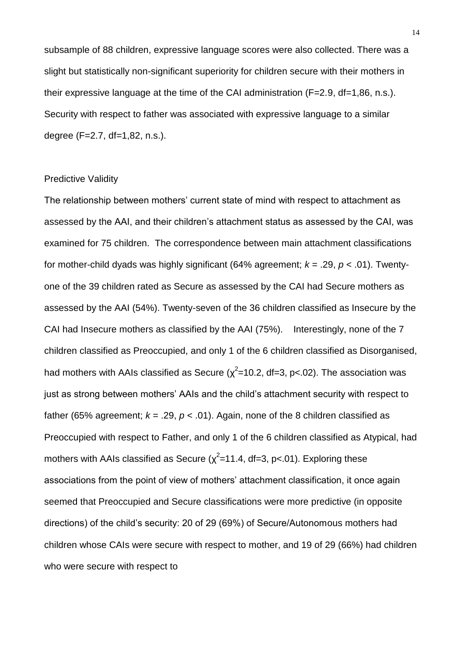subsample of 88 children, expressive language scores were also collected. There was a slight but statistically non-significant superiority for children secure with their mothers in their expressive language at the time of the CAI administration (F=2.9, df=1,86, n.s.). Security with respect to father was associated with expressive language to a similar degree (F=2.7, df=1,82, n.s.).

## Predictive Validity

The relationship between mothers' current state of mind with respect to attachment as assessed by the AAI, and their children's attachment status as assessed by the CAI, was examined for 75 children. The correspondence between main attachment classifications for mother-child dyads was highly significant (64% agreement; *k* = .29, *p* < .01). Twentyone of the 39 children rated as Secure as assessed by the CAI had Secure mothers as assessed by the AAI (54%). Twenty-seven of the 36 children classified as Insecure by the CAI had Insecure mothers as classified by the AAI (75%). Interestingly, none of the 7 children classified as Preoccupied, and only 1 of the 6 children classified as Disorganised, had mothers with AAIs classified as Secure ( $\chi^2$ =10.2, df=3, p<.02). The association was just as strong between mothers' AAIs and the child's attachment security with respect to father (65% agreement;  $k = .29$ ,  $p < .01$ ). Again, none of the 8 children classified as Preoccupied with respect to Father, and only 1 of the 6 children classified as Atypical, had mothers with AAIs classified as Secure ( $\chi^2$ =11.4, df=3, p<.01). Exploring these associations from the point of view of mothers' attachment classification, it once again seemed that Preoccupied and Secure classifications were more predictive (in opposite directions) of the child's security: 20 of 29 (69%) of Secure/Autonomous mothers had children whose CAIs were secure with respect to mother, and 19 of 29 (66%) had children who were secure with respect to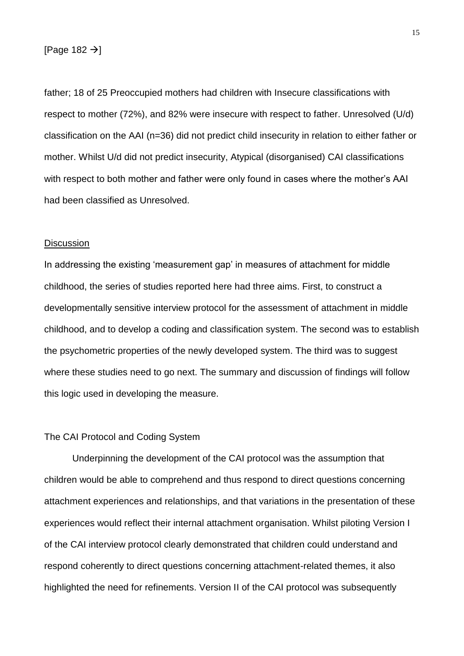## [Page 182  $\rightarrow$ ]

father; 18 of 25 Preoccupied mothers had children with Insecure classifications with respect to mother (72%), and 82% were insecure with respect to father. Unresolved (U/d) classification on the AAI (n=36) did not predict child insecurity in relation to either father or mother. Whilst U/d did not predict insecurity, Atypical (disorganised) CAI classifications with respect to both mother and father were only found in cases where the mother's AAI had been classified as Unresolved.

## **Discussion**

In addressing the existing 'measurement gap' in measures of attachment for middle childhood, the series of studies reported here had three aims. First, to construct a developmentally sensitive interview protocol for the assessment of attachment in middle childhood, and to develop a coding and classification system. The second was to establish the psychometric properties of the newly developed system. The third was to suggest where these studies need to go next. The summary and discussion of findings will follow this logic used in developing the measure.

#### The CAI Protocol and Coding System

Underpinning the development of the CAI protocol was the assumption that children would be able to comprehend and thus respond to direct questions concerning attachment experiences and relationships, and that variations in the presentation of these experiences would reflect their internal attachment organisation. Whilst piloting Version I of the CAI interview protocol clearly demonstrated that children could understand and respond coherently to direct questions concerning attachment-related themes, it also highlighted the need for refinements. Version II of the CAI protocol was subsequently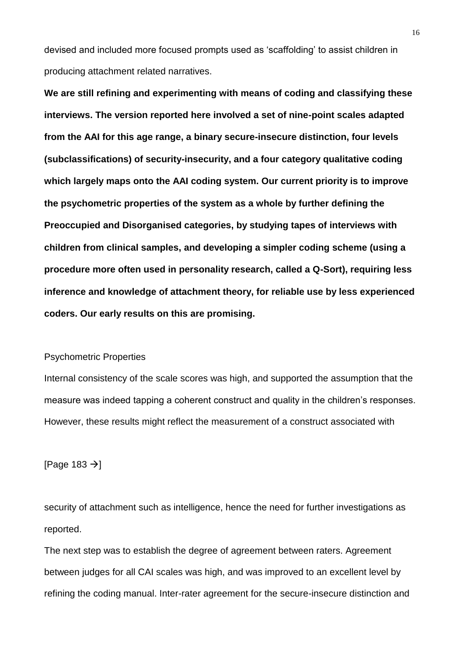devised and included more focused prompts used as 'scaffolding' to assist children in producing attachment related narratives.

**We are still refining and experimenting with means of coding and classifying these interviews. The version reported here involved a set of nine-point scales adapted from the AAI for this age range, a binary secure-insecure distinction, four levels (subclassifications) of security-insecurity, and a four category qualitative coding which largely maps onto the AAI coding system. Our current priority is to improve the psychometric properties of the system as a whole by further defining the Preoccupied and Disorganised categories, by studying tapes of interviews with children from clinical samples, and developing a simpler coding scheme (using a procedure more often used in personality research, called a Q-Sort), requiring less inference and knowledge of attachment theory, for reliable use by less experienced coders. Our early results on this are promising.**

## Psychometric Properties

Internal consistency of the scale scores was high, and supported the assumption that the measure was indeed tapping a coherent construct and quality in the children's responses. However, these results might reflect the measurement of a construct associated with

[Page 183  $\rightarrow$ ]

security of attachment such as intelligence, hence the need for further investigations as reported.

The next step was to establish the degree of agreement between raters. Agreement between judges for all CAI scales was high, and was improved to an excellent level by refining the coding manual. Inter-rater agreement for the secure-insecure distinction and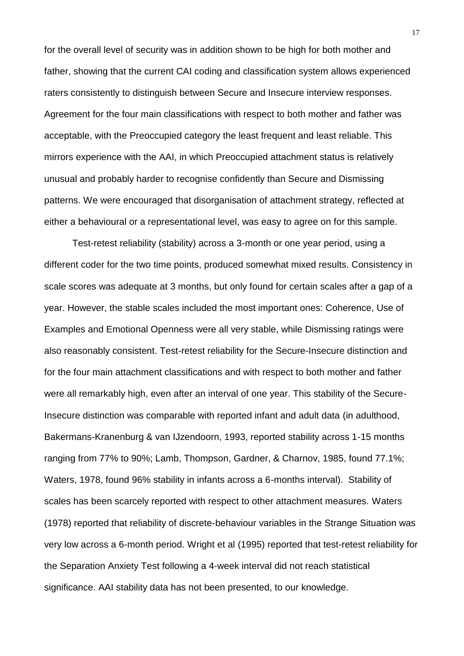for the overall level of security was in addition shown to be high for both mother and father, showing that the current CAI coding and classification system allows experienced raters consistently to distinguish between Secure and Insecure interview responses. Agreement for the four main classifications with respect to both mother and father was acceptable, with the Preoccupied category the least frequent and least reliable. This mirrors experience with the AAI, in which Preoccupied attachment status is relatively unusual and probably harder to recognise confidently than Secure and Dismissing patterns. We were encouraged that disorganisation of attachment strategy, reflected at either a behavioural or a representational level, was easy to agree on for this sample.

Test-retest reliability (stability) across a 3-month or one year period, using a different coder for the two time points, produced somewhat mixed results. Consistency in scale scores was adequate at 3 months, but only found for certain scales after a gap of a year. However, the stable scales included the most important ones: Coherence, Use of Examples and Emotional Openness were all very stable, while Dismissing ratings were also reasonably consistent. Test-retest reliability for the Secure-Insecure distinction and for the four main attachment classifications and with respect to both mother and father were all remarkably high, even after an interval of one year. This stability of the Secure-Insecure distinction was comparable with reported infant and adult data (in adulthood, Bakermans-Kranenburg & van IJzendoorn, 1993, reported stability across 1-15 months ranging from 77% to 90%; Lamb, Thompson, Gardner, & Charnov, 1985, found 77.1%; Waters, 1978, found 96% stability in infants across a 6-months interval). Stability of scales has been scarcely reported with respect to other attachment measures. Waters (1978) reported that reliability of discrete-behaviour variables in the Strange Situation was very low across a 6-month period. Wright et al (1995) reported that test-retest reliability for the Separation Anxiety Test following a 4-week interval did not reach statistical significance. AAI stability data has not been presented, to our knowledge.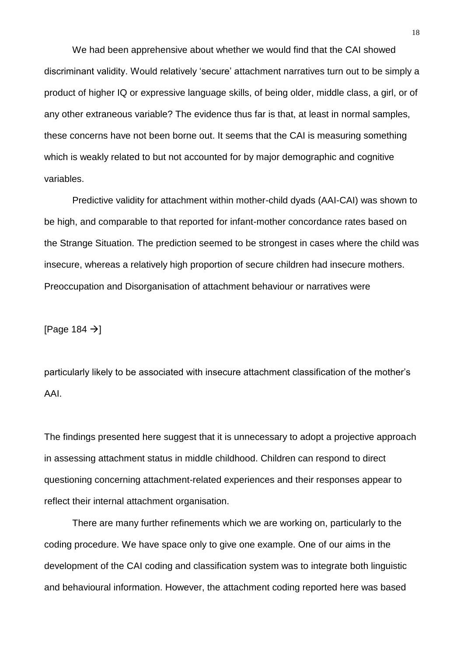We had been apprehensive about whether we would find that the CAI showed discriminant validity. Would relatively 'secure' attachment narratives turn out to be simply a product of higher IQ or expressive language skills, of being older, middle class, a girl, or of any other extraneous variable? The evidence thus far is that, at least in normal samples, these concerns have not been borne out. It seems that the CAI is measuring something which is weakly related to but not accounted for by major demographic and cognitive variables.

Predictive validity for attachment within mother-child dyads (AAI-CAI) was shown to be high, and comparable to that reported for infant-mother concordance rates based on the Strange Situation. The prediction seemed to be strongest in cases where the child was insecure, whereas a relatively high proportion of secure children had insecure mothers. Preoccupation and Disorganisation of attachment behaviour or narratives were

[Page 184  $\rightarrow$ ]

particularly likely to be associated with insecure attachment classification of the mother's AAI.

The findings presented here suggest that it is unnecessary to adopt a projective approach in assessing attachment status in middle childhood. Children can respond to direct questioning concerning attachment-related experiences and their responses appear to reflect their internal attachment organisation.

There are many further refinements which we are working on, particularly to the coding procedure. We have space only to give one example. One of our aims in the development of the CAI coding and classification system was to integrate both linguistic and behavioural information. However, the attachment coding reported here was based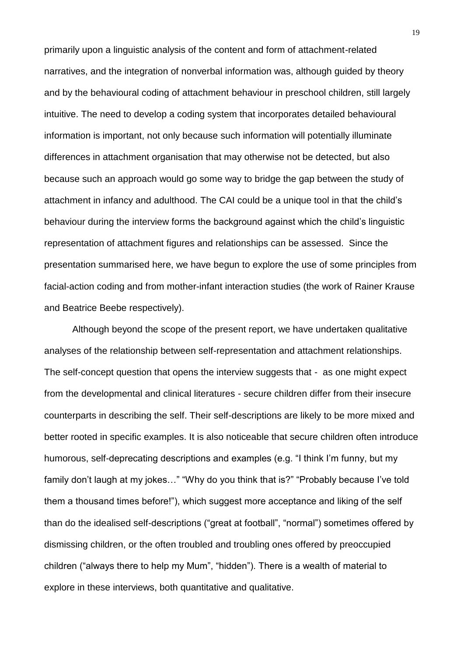primarily upon a linguistic analysis of the content and form of attachment-related narratives, and the integration of nonverbal information was, although guided by theory and by the behavioural coding of attachment behaviour in preschool children, still largely intuitive. The need to develop a coding system that incorporates detailed behavioural information is important, not only because such information will potentially illuminate differences in attachment organisation that may otherwise not be detected, but also because such an approach would go some way to bridge the gap between the study of attachment in infancy and adulthood. The CAI could be a unique tool in that the child's behaviour during the interview forms the background against which the child's linguistic representation of attachment figures and relationships can be assessed. Since the presentation summarised here, we have begun to explore the use of some principles from facial-action coding and from mother-infant interaction studies (the work of Rainer Krause and Beatrice Beebe respectively).

Although beyond the scope of the present report, we have undertaken qualitative analyses of the relationship between self-representation and attachment relationships. The self-concept question that opens the interview suggests that - as one might expect from the developmental and clinical literatures - secure children differ from their insecure counterparts in describing the self. Their self-descriptions are likely to be more mixed and better rooted in specific examples. It is also noticeable that secure children often introduce humorous, self-deprecating descriptions and examples (e.g. "I think I'm funny, but my family don't laugh at my jokes…" "Why do you think that is?" "Probably because I've told them a thousand times before!"), which suggest more acceptance and liking of the self than do the idealised self-descriptions ("great at football", "normal") sometimes offered by dismissing children, or the often troubled and troubling ones offered by preoccupied children ("always there to help my Mum", "hidden"). There is a wealth of material to explore in these interviews, both quantitative and qualitative.

19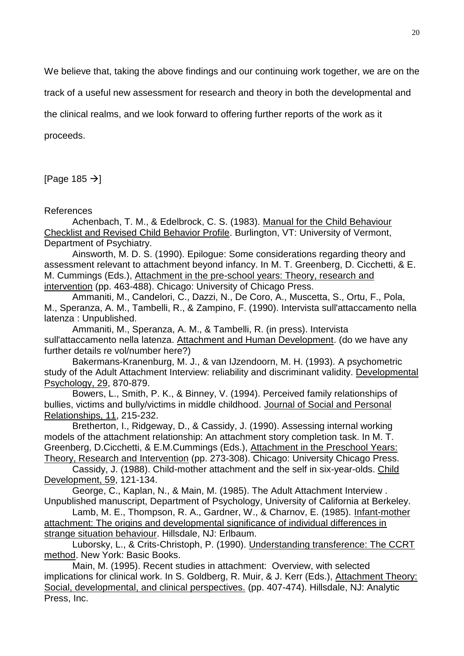We believe that, taking the above findings and our continuing work together, we are on the

track of a useful new assessment for research and theory in both the developmental and

the clinical realms, and we look forward to offering further reports of the work as it

proceeds.

[Page 185  $\rightarrow$ ]

References

Achenbach, T. M., & Edelbrock, C. S. (1983). Manual for the Child Behaviour Checklist and Revised Child Behavior Profile. Burlington, VT: University of Vermont, Department of Psychiatry.

Ainsworth, M. D. S. (1990). Epilogue: Some considerations regarding theory and assessment relevant to attachment beyond infancy. In M. T. Greenberg, D. Cicchetti, & E. M. Cummings (Eds.), Attachment in the pre-school years: Theory, research and intervention (pp. 463-488). Chicago: University of Chicago Press.

Ammaniti, M., Candelori, C., Dazzi, N., De Coro, A., Muscetta, S., Ortu, F., Pola, M., Speranza, A. M., Tambelli, R., & Zampino, F. (1990). Intervista sull'attaccamento nella latenza : Unpublished.

Ammaniti, M., Speranza, A. M., & Tambelli, R. (in press). Intervista sull'attaccamento nella latenza. Attachment and Human Development. (do we have any further details re vol/number here?)

Bakermans-Kranenburg, M. J., & van IJzendoorn, M. H. (1993). A psychometric study of the Adult Attachment Interview: reliability and discriminant validity. Developmental Psychology, 29, 870-879.

Bowers, L., Smith, P. K., & Binney, V. (1994). Perceived family relationships of bullies, victims and bully/victims in middle childhood. Journal of Social and Personal Relationships, 11, 215-232.

Bretherton, I., Ridgeway, D., & Cassidy, J. (1990). Assessing internal working models of the attachment relationship: An attachment story completion task. In M. T. Greenberg, D.Cicchetti, & E.M.Cummings (Eds.), Attachment in the Preschool Years: Theory, Research and Intervention (pp. 273-308). Chicago: University Chicago Press.

Cassidy, J. (1988). Child-mother attachment and the self in six-year-olds. Child Development, 59, 121-134.

George, C., Kaplan, N., & Main, M. (1985). The Adult Attachment Interview . Unpublished manuscript, Department of Psychology, University of California at Berkeley.

Lamb, M. E., Thompson, R. A., Gardner, W., & Charnov, E. (1985). Infant-mother attachment: The origins and developmental significance of individual differences in strange situation behaviour. Hillsdale, NJ: Erlbaum.

Luborsky, L., & Crits-Christoph, P. (1990). Understanding transference: The CCRT method. New York: Basic Books.

Main, M. (1995). Recent studies in attachment: Overview, with selected implications for clinical work. In S. Goldberg, R. Muir, & J. Kerr (Eds.), Attachment Theory: Social, developmental, and clinical perspectives. (pp. 407-474). Hillsdale, NJ: Analytic Press, Inc.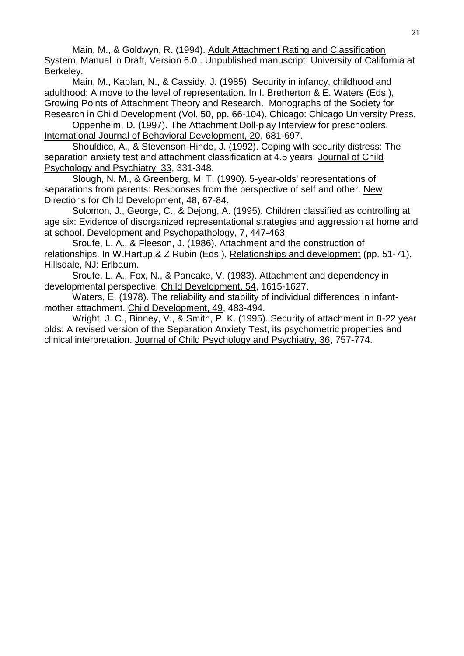Main, M., & Goldwyn, R. (1994). Adult Attachment Rating and Classification System, Manual in Draft, Version 6.0 . Unpublished manuscript: University of California at Berkeley.

Main, M., Kaplan, N., & Cassidy, J. (1985). Security in infancy, childhood and adulthood: A move to the level of representation. In I. Bretherton & E. Waters (Eds.), Growing Points of Attachment Theory and Research. Monographs of the Society for Research in Child Development (Vol. 50, pp. 66-104). Chicago: Chicago University Press.

Oppenheim, D. (1997). The Attachment Doll-play Interview for preschoolers. International Journal of Behavioral Development, 20, 681-697.

Shouldice, A., & Stevenson-Hinde, J. (1992). Coping with security distress: The separation anxiety test and attachment classification at 4.5 years. Journal of Child Psychology and Psychiatry, 33, 331-348.

Slough, N. M., & Greenberg, M. T. (1990). 5-year-olds' representations of separations from parents: Responses from the perspective of self and other. New Directions for Child Development, 48, 67-84.

Solomon, J., George, C., & Dejong, A. (1995). Children classified as controlling at age six: Evidence of disorganized representational strategies and aggression at home and at school. Development and Psychopathology, 7, 447-463.

Sroufe, L. A., & Fleeson, J. (1986). Attachment and the construction of relationships. In W.Hartup & Z.Rubin (Eds.), Relationships and development (pp. 51-71). Hillsdale, NJ: Erlbaum.

Sroufe, L. A., Fox, N., & Pancake, V. (1983). Attachment and dependency in developmental perspective. Child Development, 54, 1615-1627.

Waters, E. (1978). The reliability and stability of individual differences in infantmother attachment. Child Development, 49, 483-494.

Wright, J. C., Binney, V., & Smith, P. K. (1995). Security of attachment in 8-22 year olds: A revised version of the Separation Anxiety Test, its psychometric properties and clinical interpretation. Journal of Child Psychology and Psychiatry, 36, 757-774.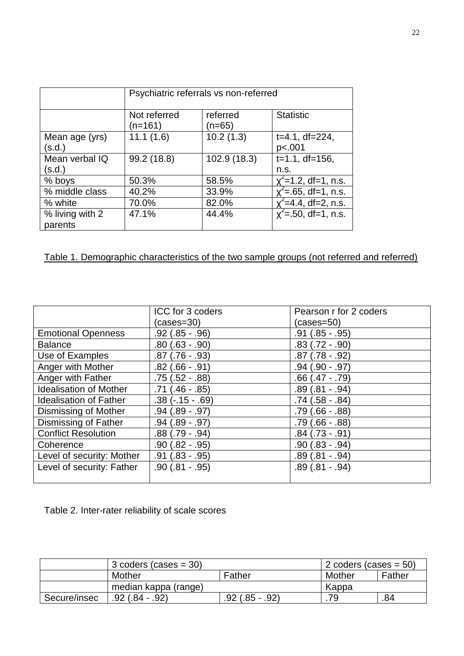|                            | Psychiatric referrals vs non-referred |                      |                                       |  |
|----------------------------|---------------------------------------|----------------------|---------------------------------------|--|
|                            | Not referred<br>(n=161)               | referred<br>$(n=65)$ | <b>Statistic</b>                      |  |
| Mean age (yrs)<br>(s.d.)   | 11.1(1.6)                             | 10.2(1.3)            | $t=4.1$ , df=224,<br>p<.001           |  |
| Mean verbal IQ<br>(s.d.)   | 99.2 (18.8)                           | 102.9 (18.3)         | $t=1.1$ , df=156,<br>n.s.             |  |
| % boys                     | 50.3%                                 | 58.5%                | $\zeta$ <sup>2</sup> =1.2, df=1, n.s. |  |
| % middle class             | 40.2%                                 | 33.9%                | $x^2$ =.65, df=1, n.s.                |  |
| % white                    | 70.0%                                 | 82.0%                | $\le$ =4.4, df=2, n.s.                |  |
| % living with 2<br>parents | 47.1%                                 | 44.4%                | $x^2$ =.50, df=1, n.s.                |  |

# Table 1. Demographic characteristics of the two sample groups (not referred and referred)

|                               | ICC for 3 coders    | Pearson r for 2 coders |
|-------------------------------|---------------------|------------------------|
|                               | (cases=30)          | $(cases=50)$           |
| <b>Emotional Openness</b>     | $.92$ (.85 - .96)   | $.91(.85-.95)$         |
| <b>Balance</b>                | $.80(.63-.90)$      | $.83(.72-.90)$         |
| Use of Examples               | $.87$ (.76 - .93)   | $.87(.78-.92)$         |
| Anger with Mother             | $.82$ $(.66 - .91)$ | $.94(.90-.97)$         |
| Anger with Father             | $.75(.52-.88)$      | $.66(.47-.79)$         |
| <b>Idealisation of Mother</b> | $.71(.46-.85)$      | $.89(.81-.94)$         |
| <b>Idealisation of Father</b> | $.38(-.15-.69)$     | $.74(.58-.84)$         |
| Dismissing of Mother          | $.94(.89-.97)$      | $.79(.66-.88)$         |
| Dismissing of Father          | $.94(.89-.97)$      | $.79(.66-.88)$         |
| <b>Conflict Resolution</b>    | $.88(.79-.94)$      | $.84$ $(.73 - .91)$    |
| Coherence                     | $.90(.82-.95)$      | $.90(.83-.94)$         |
| Level of security: Mother     | $.91(.83-.95)$      | $.89(.81-.94)$         |
| Level of security: Father     | $.90(.81-.95)$      | $.89(.81-.94)$         |
|                               |                     |                        |

Table 2. Inter-rater reliability of scale scores

|              | 3 coders (cases $=$ 30) |                | 2 coders (cases $= 50$ ) |     |
|--------------|-------------------------|----------------|--------------------------|-----|
|              | Mother                  | Mother         | Father                   |     |
|              | median kappa (range)    | Kappa          |                          |     |
| Secure/insec | .92 (.84 - .92)         | $.92(.85-.92)$ | .79                      | .84 |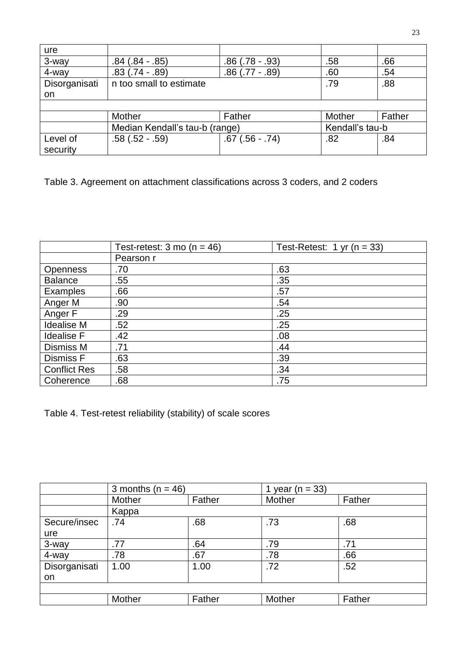| ure           |                                |                |                 |        |
|---------------|--------------------------------|----------------|-----------------|--------|
| 3-way         | $.84(.84-.85)$                 | $.86(.78-.93)$ | .58             | .66    |
| 4-way         | $.83(.74-.89)$                 | $.86(.77-.89)$ | .60             | .54    |
| Disorganisati | n too small to estimate        |                | .79             | .88    |
| on            |                                |                |                 |        |
|               |                                |                |                 |        |
|               | Mother                         | Father         | Mother          | Father |
|               | Median Kendall's tau-b (range) |                | Kendall's tau-b |        |
| Level of      | $.58(.52-.59)$                 | $.67(.56-.74)$ | .82             | .84    |
| security      |                                |                |                 |        |

Table 3. Agreement on attachment classifications across 3 coders, and 2 coders

|                     | Test-retest: $3 \text{ mo}$ (n = 46) | Test-Retest: $1 \text{ yr}$ (n = 33) |
|---------------------|--------------------------------------|--------------------------------------|
|                     | Pearson r                            |                                      |
| <b>Openness</b>     | .70                                  | .63                                  |
| <b>Balance</b>      | .55                                  | .35                                  |
| <b>Examples</b>     | .66                                  | .57                                  |
| Anger M             | .90                                  | .54                                  |
| Anger F             | .29                                  | .25                                  |
| <b>Idealise M</b>   | .52                                  | .25                                  |
| <b>Idealise F</b>   | .42                                  | .08                                  |
| Dismiss M           | .71                                  | .44                                  |
| <b>Dismiss F</b>    | .63                                  | .39                                  |
| <b>Conflict Res</b> | .58                                  | .34                                  |
| Coherence           | .68                                  | .75                                  |

Table 4. Test-retest reliability (stability) of scale scores

|               | 3 months ( $n = 46$ ) |        | 1 year ( $n = 33$ ) |        |
|---------------|-----------------------|--------|---------------------|--------|
|               | Mother                | Father | Mother              | Father |
|               | Kappa                 |        |                     |        |
| Secure/insec  | .74                   | .68    | .73                 | .68    |
| ure           |                       |        |                     |        |
| 3-way         | .77                   | .64    | .79                 | .71    |
| 4-way         | .78                   | .67    | .78                 | .66    |
| Disorganisati | 1.00                  | 1.00   | .72                 | .52    |
| on            |                       |        |                     |        |
|               |                       |        |                     |        |
|               | Mother                | Father | Mother              | Father |